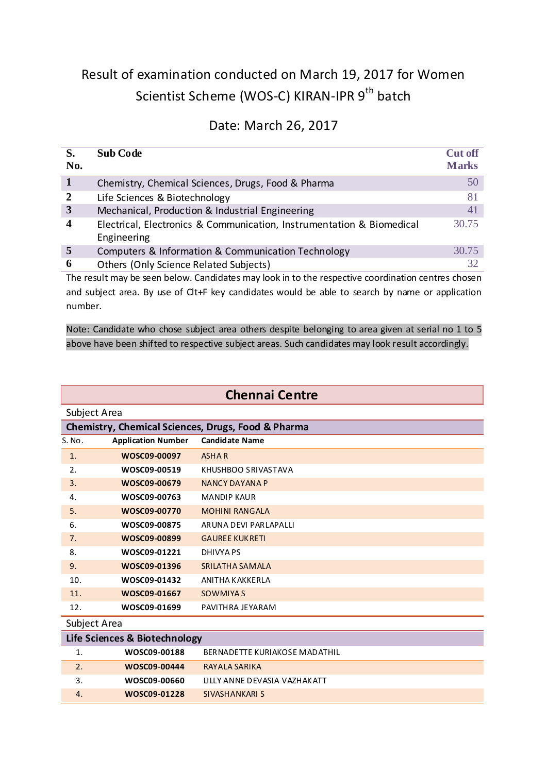## Result of examination conducted on March 19, 2017 for Women Scientist Scheme (WOS-C) KIRAN-IPR 9<sup>th</sup> batch

## Date: March 26, 2017

| S.<br>No.        | <b>Sub Code</b>                                                                                   | <b>Cut off</b><br><b>Marks</b> |
|------------------|---------------------------------------------------------------------------------------------------|--------------------------------|
| $\mathbf{1}$     | Chemistry, Chemical Sciences, Drugs, Food & Pharma                                                | 50                             |
| $\overline{2}$   | Life Sciences & Biotechnology                                                                     | 81                             |
| $\mathbf{3}$     | Mechanical, Production & Industrial Engineering                                                   | 41                             |
| $\boldsymbol{4}$ | Electrical, Electronics & Communication, Instrumentation & Biomedical<br>Engineering              | 30.75                          |
| 5                | Computers & Information & Communication Technology                                                | 30.75                          |
| 6                | Others (Only Science Related Subjects)                                                            | 32                             |
|                  | The result may be seen below Candidates may look in to the respective coordination centres chosen |                                |

The result may be seen below. Candidates may look in to the respective coordination centres chosen and subject area. By use of Clt+F key candidates would be able to search by name or application number.

Note: Candidate who chose subject area others despite belonging to area given at serial no 1 to 5 above have been shifted to respective subject areas. Such candidates may look result accordingly.

| <b>Chennai Centre</b> |
|-----------------------|
|-----------------------|

| Subject Area |                           |                                                    |  |
|--------------|---------------------------|----------------------------------------------------|--|
|              |                           | Chemistry, Chemical Sciences, Drugs, Food & Pharma |  |
| S. No.       | <b>Application Number</b> | <b>Candidate Name</b>                              |  |
| 1.           | WOSC09-00097              | <b>ASHAR</b>                                       |  |
| 2.           | WOSC09-00519              | KHUSHBOO SRIVASTAVA                                |  |
| 3.           | WOSC09-00679              | <b>NANCY DAYANA P</b>                              |  |
| 4.           | WOSC09-00763              | <b>MANDIP KAUR</b>                                 |  |
| 5.           | WOSC09-00770              | <b>MOHINI RANGALA</b>                              |  |
| 6.           | WOSC09-00875              | ARUNA DEVI PARLAPALLI                              |  |
| 7.           | WOSC09-00899              | <b>GAUREE KUKRETI</b>                              |  |
| 8.           | WOSC09-01221              | DHIVYA PS                                          |  |
| 9.           | WOSC09-01396              | SRILATHA SAMALA                                    |  |
| 10.          | WOSC09-01432              | ANITHA KAKKERLA                                    |  |
| 11.          | WOSC09-01667              | <b>SOWMIYA S</b>                                   |  |
| 12.          | WOSC09-01699              | PAVITHRA JEYARAM                                   |  |

Subject Area

| Life Sciences & Biotechnology |              |                               |
|-------------------------------|--------------|-------------------------------|
| 1.                            | WOSC09-00188 | BERNADETTE KURIAKOSE MADATHIL |
| 2.                            | WOSC09-00444 | RAYALA SARIKA                 |
| 3.                            | WOSC09-00660 | LILLY ANNE DEVASIA VAZHAKATT  |
| 4.                            | WOSC09-01228 | SIVASHANKARI S                |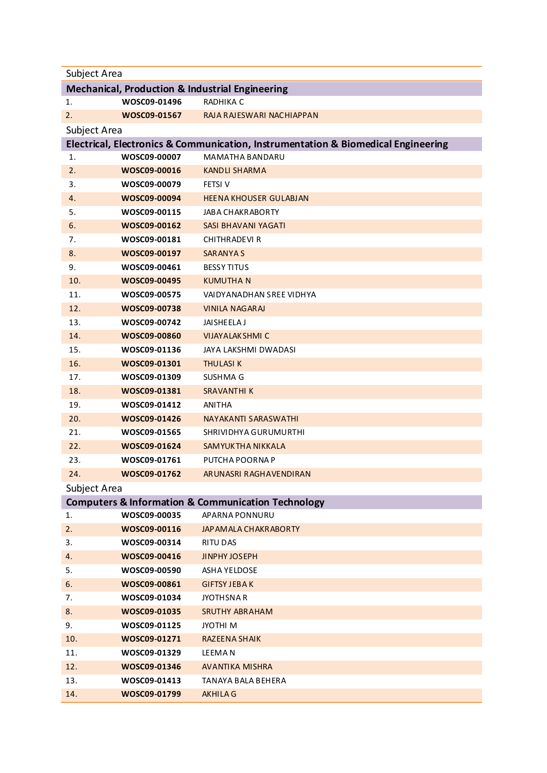| Subject Area                                               |              |                                                                                   |  |  |
|------------------------------------------------------------|--------------|-----------------------------------------------------------------------------------|--|--|
| <b>Mechanical, Production &amp; Industrial Engineering</b> |              |                                                                                   |  |  |
| 1.                                                         | WOSC09-01496 | RADHIKA C                                                                         |  |  |
| 2.                                                         | WOSC09-01567 | RAJA RAJESWARI NACHIAPPAN                                                         |  |  |
| Subject Area                                               |              |                                                                                   |  |  |
|                                                            |              | Electrical, Electronics & Communication, Instrumentation & Biomedical Engineering |  |  |
| 1.                                                         | WOSC09-00007 | MAMATHA BANDARU                                                                   |  |  |
| 2.                                                         | WOSC09-00016 | <b>KANDLI SHARMA</b>                                                              |  |  |
| 3.                                                         | WOSC09-00079 | <b>FETSI V</b>                                                                    |  |  |
| 4.                                                         | WOSC09-00094 | <b>HEENA KHOUSER GULABJAN</b>                                                     |  |  |
| 5.                                                         | WOSC09-00115 | JABA CHAKRABORTY                                                                  |  |  |
| 6.                                                         | WOSC09-00162 | SASI BHAVANI YAGATI                                                               |  |  |
| 7.                                                         | WOSC09-00181 | CHITHRADEVI R                                                                     |  |  |
| 8.                                                         | WOSC09-00197 | <b>SARANYAS</b>                                                                   |  |  |
| 9.                                                         | WOSC09-00461 | <b>BESSY TITUS</b>                                                                |  |  |
| 10.                                                        | WOSC09-00495 | <b>KUMUTHAN</b>                                                                   |  |  |
| 11.                                                        | WOSC09-00575 | VAIDYANADHAN SREE VIDHYA                                                          |  |  |
| 12.                                                        | WOSC09-00738 | <b>VINILA NAGARAJ</b>                                                             |  |  |
| 13.                                                        | WOSC09-00742 | JAISHEELA J                                                                       |  |  |
| 14.                                                        | WOSC09-00860 | <b>VIJAYALAKSHMI C</b>                                                            |  |  |
| 15.                                                        | WOSC09-01136 | JAYA LAKSHMI DWADASI                                                              |  |  |
| 16.                                                        | WOSC09-01301 | <b>THULASIK</b>                                                                   |  |  |
| 17.                                                        | WOSC09-01309 | SUSHMA G                                                                          |  |  |
| 18.                                                        | WOSC09-01381 | <b>SRAVANTHI K</b>                                                                |  |  |
| 19.                                                        | WOSC09-01412 | <b>ANITHA</b>                                                                     |  |  |
| 20.                                                        | WOSC09-01426 | NAYAKANTI SARASWATHI                                                              |  |  |
| 21.                                                        | WOSC09-01565 | SHRIVIDHYA GURUMURTHI                                                             |  |  |
| 22.                                                        | WOSC09-01624 | SAMYUKTHA NIKKALA                                                                 |  |  |
| 23.                                                        | WOSC09-01761 | PUTCHA POORNA P                                                                   |  |  |
| 24.                                                        | WOSC09-01762 | ARUNASRI RAGHAVENDIRAN                                                            |  |  |
| Subject Area                                               |              |                                                                                   |  |  |
|                                                            |              | <b>Computers &amp; Information &amp; Communication Technology</b>                 |  |  |
| 1.                                                         | WOSC09-00035 | APARNA PONNURU                                                                    |  |  |
| 2.                                                         | WOSC09-00116 | JAP AMALA CHAKRABORTY                                                             |  |  |
| 3.                                                         | WOSC09-00314 | <b>RITU DAS</b>                                                                   |  |  |
| 4.                                                         | WOSC09-00416 | <b>JINPHY JOSEPH</b>                                                              |  |  |
| 5.                                                         | WOSC09-00590 | ASHA YELDOSE                                                                      |  |  |
| 6.                                                         | WOSC09-00861 | <b>GIFTSY JEBAK</b>                                                               |  |  |
| 7.                                                         | WOSC09-01034 | <b>JYOTHSNAR</b>                                                                  |  |  |
| 8.                                                         | WOSC09-01035 | <b>SRUTHY ABRAHAM</b>                                                             |  |  |
| 9.                                                         | WOSC09-01125 | JYOTHI M                                                                          |  |  |
| 10.                                                        | WOSC09-01271 | RAZEENA SHAIK                                                                     |  |  |
| 11.                                                        | WOSC09-01329 | <b>LEEMAN</b>                                                                     |  |  |
| 12.                                                        | WOSC09-01346 | <b>AVANTIKA MISHRA</b>                                                            |  |  |
| 13.                                                        | WOSC09-01413 | TANAYA BALA BEHERA                                                                |  |  |
| 14.                                                        | WOSC09-01799 | <b>AKHILA G</b>                                                                   |  |  |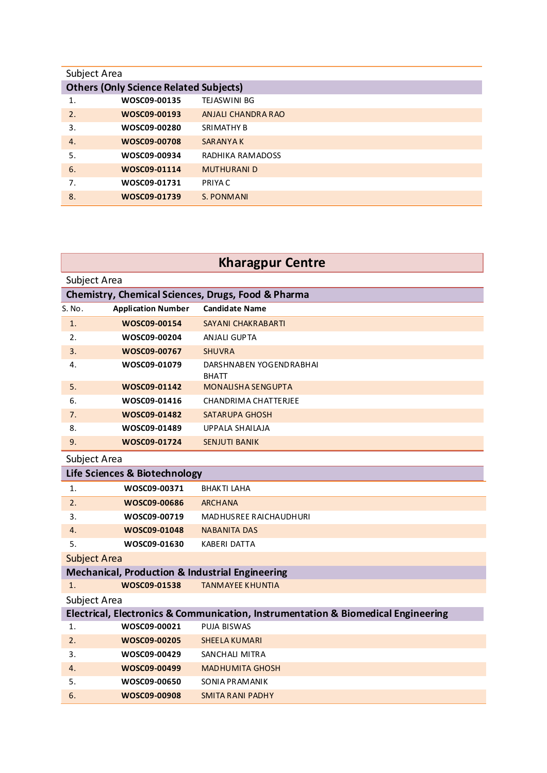| Subject Area |                                               |                     |  |
|--------------|-----------------------------------------------|---------------------|--|
|              | <b>Others (Only Science Related Subjects)</b> |                     |  |
| 1.           | WOSC09-00135                                  | <b>TEJASWINI BG</b> |  |
| 2.           | WOSC09-00193                                  | ANJALI CHANDRA RAO  |  |
| 3.           | WOSC09-00280                                  | <b>SRIMATHY B</b>   |  |
| 4.           | WOSC09-00708                                  | <b>SARANYAK</b>     |  |
| 5.           | WOSC09-00934                                  | RADHIKA RAMADOSS    |  |
| 6.           | WOSC09-01114                                  | <b>MUTHURANI D</b>  |  |
| 7.           | WOSC09-01731                                  | PRIYA C             |  |
| 8.           | WOSC09-01739                                  | S. PONMANI          |  |

## **Kharagpur Centre**

| Subject Area                                       |                                                            |                                                                                   |  |
|----------------------------------------------------|------------------------------------------------------------|-----------------------------------------------------------------------------------|--|
| Chemistry, Chemical Sciences, Drugs, Food & Pharma |                                                            |                                                                                   |  |
| S. No.                                             | <b>Application Number</b>                                  | <b>Candidate Name</b>                                                             |  |
| 1.                                                 | WOSC09-00154                                               | <b>SAYANI CHAKRABARTI</b>                                                         |  |
| 2.                                                 | WOSC09-00204                                               | ANJALI GUPTA                                                                      |  |
| 3.                                                 | WOSC09-00767                                               | <b>SHUVRA</b>                                                                     |  |
| 4.                                                 | WOSC09-01079                                               | DARSHNABEN YOGENDRABHAI<br><b>BHATT</b>                                           |  |
| 5.                                                 | WOSC09-01142                                               | <b>MONALISHA SENGUPTA</b>                                                         |  |
| 6.                                                 | WOSC09-01416                                               | CHANDRIMA CHATTERJEE                                                              |  |
| 7.                                                 | WOSC09-01482                                               | <b>SATARUPA GHOSH</b>                                                             |  |
| 8.                                                 | WOSC09-01489                                               | <b>UPPALA SHAILAJA</b>                                                            |  |
| 9.                                                 | WOSC09-01724                                               | <b>SENJUTI BANIK</b>                                                              |  |
| Subject Area                                       |                                                            |                                                                                   |  |
|                                                    | Life Sciences & Biotechnology                              |                                                                                   |  |
| 1.                                                 | WOSC09-00371                                               | <b>BHAKTI LAHA</b>                                                                |  |
| 2.                                                 | WOSC09-00686                                               | <b>ARCHANA</b>                                                                    |  |
| 3.                                                 | WOSC09-00719                                               | <b>MADHUSREE RAICHAUDHURI</b>                                                     |  |
| 4.                                                 | WOSC09-01048                                               | <b>NABANITA DAS</b>                                                               |  |
| 5.                                                 | WOSC09-01630                                               | <b>KABERI DATTA</b>                                                               |  |
| <b>Subject Area</b>                                |                                                            |                                                                                   |  |
|                                                    | <b>Mechanical, Production &amp; Industrial Engineering</b> |                                                                                   |  |
| 1.                                                 | WOSC09-01538                                               | <b>TANMAYEE KHUNTIA</b>                                                           |  |
| Subject Area                                       |                                                            |                                                                                   |  |
|                                                    |                                                            | Electrical, Electronics & Communication, Instrumentation & Biomedical Engineering |  |
| 1.                                                 | WOSC09-00021                                               | PUJA BISWAS                                                                       |  |
| 2.                                                 | WOSC09-00205                                               | <b>SHEELA KUMARI</b>                                                              |  |
| 3.                                                 | WOSC09-00429                                               | SANCHALI MITRA                                                                    |  |
| 4.                                                 | WOSC09-00499                                               | <b>MADHUMITA GHOSH</b>                                                            |  |
| 5.                                                 | WOSC09-00650                                               | SONIA PRAMANIK                                                                    |  |
| 6.                                                 | WOSC09-00908                                               | <b>SMITA RANI PADHY</b>                                                           |  |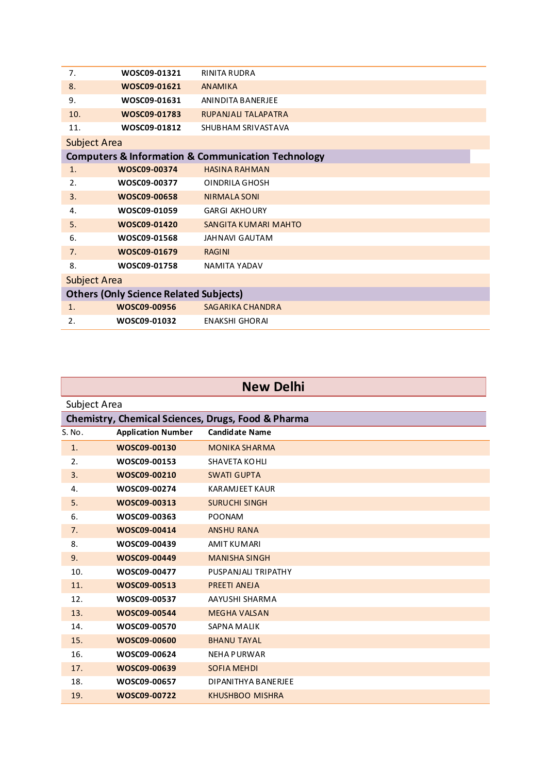| 7.                  | WOSC09-01321                                  | <b>RINITA RUDRA</b>                                               |
|---------------------|-----------------------------------------------|-------------------------------------------------------------------|
| 8.                  | WOSC09-01621                                  | <b>ANAMIKA</b>                                                    |
| 9.                  | WOSC09-01631                                  | <b>ANINDITA BANERJEE</b>                                          |
| 10.                 | WOSC09-01783                                  | RUPANJALI TALAPATRA                                               |
| 11.                 | WOSC09-01812                                  | SHUBHAM SRIVASTAVA                                                |
| <b>Subject Area</b> |                                               |                                                                   |
|                     |                                               | <b>Computers &amp; Information &amp; Communication Technology</b> |
| 1.                  | WOSC09-00374                                  | <b>HASINA RAHMAN</b>                                              |
| 2.                  | WOSC09-00377                                  | OINDRILA GHOSH                                                    |
| 3.                  | WOSC09-00658                                  | <b>NIRMALA SONI</b>                                               |
| 4.                  | WOSC09-01059                                  | <b>GARGI AKHOURY</b>                                              |
| 5.                  | WOSC09-01420                                  | SANGITA KUMARI MAHTO                                              |
| 6.                  | WOSC09-01568                                  | JAHNAVI GAUTAM                                                    |
| 7.                  | WOSC09-01679                                  | <b>RAGINI</b>                                                     |
| 8.                  | WOSC09-01758                                  | <b>NAMITA YADAV</b>                                               |
| <b>Subject Area</b> |                                               |                                                                   |
|                     | <b>Others (Only Science Related Subjects)</b> |                                                                   |
| $\mathbf{1}$ .      | WOSC09-00956                                  | <b>SAGARIKA CHANDRA</b>                                           |
| 2.                  | WOSC09-01032                                  | <b>ENAKSHI GHORAI</b>                                             |

| <b>New Delhi</b> |                           |                                                    |  |
|------------------|---------------------------|----------------------------------------------------|--|
|                  | Subject Area              |                                                    |  |
|                  |                           | Chemistry, Chemical Sciences, Drugs, Food & Pharma |  |
| S. No.           | <b>Application Number</b> | <b>Candidate Name</b>                              |  |
| 1.               | WOSC09-00130              | <b>MONIKA SHARMA</b>                               |  |
| 2.               | WOSC09-00153              | <b>SHAVETA KOHLI</b>                               |  |
| 3.               | WOSC09-00210              | <b>SWATI GUPTA</b>                                 |  |
| 4.               | WOSC09-00274              | <b>KARAMJEET KAUR</b>                              |  |
| 5.               | WOSC09-00313              | <b>SURUCHI SINGH</b>                               |  |
| 6.               | WOSC09-00363              | <b>POONAM</b>                                      |  |
| 7.               | WOSC09-00414              | <b>ANSHU RANA</b>                                  |  |
| 8.               | WOSC09-00439              | <b>AMIT KUMARI</b>                                 |  |
| 9.               | WOSC09-00449              | <b>MANISHA SINGH</b>                               |  |
| 10.              | WOSC09-00477              | PUSPANJALI TRIPATHY                                |  |
| 11.              | WOSC09-00513              | PREETI ANEJA                                       |  |
| 12.              | WOSC09-00537              | AAYUSHI SHARMA                                     |  |
| 13.              | WOSC09-00544              | <b>MEGHA VALSAN</b>                                |  |
| 14.              | WOSC09-00570              | <b>SAPNA MALIK</b>                                 |  |
| 15.              | WOSC09-00600              | <b>BHANU TAYAL</b>                                 |  |
| 16.              | WOSC09-00624              | <b>NEHA PURWAR</b>                                 |  |
| 17.              | WOSC09-00639              | <b>SOFIA MEHDI</b>                                 |  |
| 18.              | WOSC09-00657              | DIPANITHYA BANERJEE                                |  |
| 19.              | WOSC09-00722              | <b>KHUSHBOO MISHRA</b>                             |  |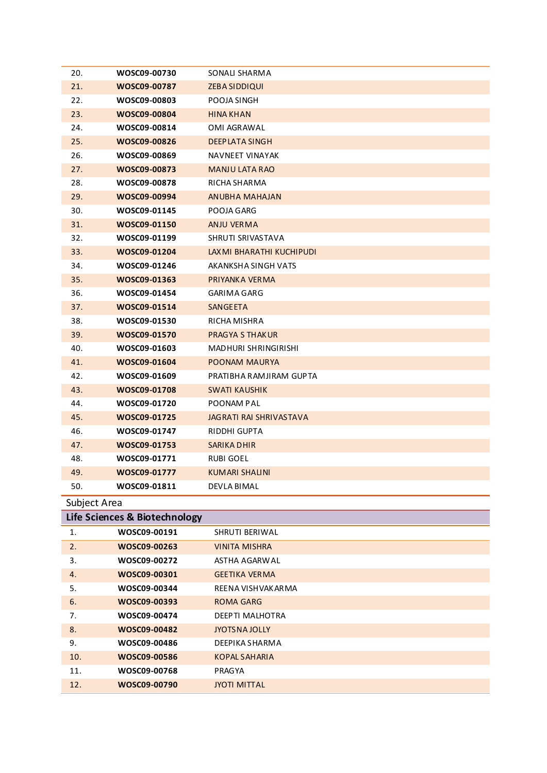| 20.<br>WOSC09-00730<br>SONALI SHARMA<br>21.<br>WOSC09-00787<br>ZEBA SIDDIQUI<br>22.<br>WOSC09-00803<br>POOJA SINGH<br>23.<br>WOSC09-00804<br><b>HINA KHAN</b><br>24.<br>WOSC09-00814<br>OMI AGRAWAL<br>25.<br>WOSC09-00826<br>DEEP LATA SINGH<br>26.<br>WOSC09-00869<br>NAVNEET VINAYAK<br>27.<br>WOSC09-00873<br><b>MANJU LATA RAO</b><br>28.<br>WOSC09-00878<br>RICHA SHARMA<br>29.<br>WOSC09-00994<br><b>ANUBHA MAHAJAN</b><br>30.<br>WOSC09-01145<br>POOJA GARG<br>31.<br>WOSC09-01150<br>ANJU VERMA<br>32.<br>WOSC09-01199<br>SHRUTI SRIVASTAVA<br>33.<br>WOSC09-01204<br>LAXMI BHARATHI KUCHIPUDI<br>34.<br>WOSC09-01246<br>AKANKSHA SINGH VATS<br>35.<br>WOSC09-01363<br>PRIYANKA VERMA<br>36.<br>WOSC09-01454<br>GARIMA GARG<br>37.<br>WOSC09-01514<br>SANGEETA<br>38.<br>WOSC09-01530<br>RICHA MISHRA<br>39.<br>WOSC09-01570<br>PRAGYA S THAKUR<br>40.<br>WOSC09-01603<br>MADHURI SHRINGIRISHI<br>41.<br>WOSC09-01604<br>POONAM MAURYA<br>42.<br>WOSC09-01609<br>PRATIBHA RAMJIRAM GUPTA<br>43.<br>WOSC09-01708<br><b>SWATI KAUSHIK</b><br>44.<br>WOSC09-01720<br>POONAM PAL<br>45.<br>WOSC09-01725<br>JAGRATI RAI SHRIVASTAVA<br>46.<br>WOSC09-01747<br>RIDDHI GUPTA<br>47.<br>WOSC09-01753<br>SARIKA DHIR<br>48.<br>WOSC09-01771<br>RUBI GOEL<br>49.<br>WOSC09-01777<br><b>KUMARI SHALINI</b><br>50.<br>WOSC09-01811<br>DEVLA BIMAL<br>Subject Area<br>Life Sciences & Biotechnology<br>WOSC09-00191<br>1.<br>SHRUTI BERIWAL<br>2.<br>WOSC09-00263<br><b>VINITA MISHRA</b><br>WOSC09-00272<br>3.<br><b>ASTHA AGARWAL</b><br>WOSC09-00301<br>4.<br><b>GEETIKA VERMA</b><br>WOSC09-00344<br>5.<br>REENA VISHVAKARMA<br>6.<br>WOSC09-00393<br><b>ROMA GARG</b><br>WOSC09-00474<br>DEEPTI MALHOTRA<br>7.<br>8.<br>WOSC09-00482<br>JYOTSNA JOLLY<br>9.<br>WOSC09-00486<br>DEEPIKA SHARMA<br>10.<br>WOSC09-00586<br><b>KOPAL SAHARIA</b><br>11.<br>WOSC09-00768<br>PRAGYA |     |              |                     |
|--------------------------------------------------------------------------------------------------------------------------------------------------------------------------------------------------------------------------------------------------------------------------------------------------------------------------------------------------------------------------------------------------------------------------------------------------------------------------------------------------------------------------------------------------------------------------------------------------------------------------------------------------------------------------------------------------------------------------------------------------------------------------------------------------------------------------------------------------------------------------------------------------------------------------------------------------------------------------------------------------------------------------------------------------------------------------------------------------------------------------------------------------------------------------------------------------------------------------------------------------------------------------------------------------------------------------------------------------------------------------------------------------------------------------------------------------------------------------------------------------------------------------------------------------------------------------------------------------------------------------------------------------------------------------------------------------------------------------------------------------------------------------------------------------------------------------------------------------------------------------------|-----|--------------|---------------------|
|                                                                                                                                                                                                                                                                                                                                                                                                                                                                                                                                                                                                                                                                                                                                                                                                                                                                                                                                                                                                                                                                                                                                                                                                                                                                                                                                                                                                                                                                                                                                                                                                                                                                                                                                                                                                                                                                                |     |              |                     |
|                                                                                                                                                                                                                                                                                                                                                                                                                                                                                                                                                                                                                                                                                                                                                                                                                                                                                                                                                                                                                                                                                                                                                                                                                                                                                                                                                                                                                                                                                                                                                                                                                                                                                                                                                                                                                                                                                |     |              |                     |
|                                                                                                                                                                                                                                                                                                                                                                                                                                                                                                                                                                                                                                                                                                                                                                                                                                                                                                                                                                                                                                                                                                                                                                                                                                                                                                                                                                                                                                                                                                                                                                                                                                                                                                                                                                                                                                                                                |     |              |                     |
|                                                                                                                                                                                                                                                                                                                                                                                                                                                                                                                                                                                                                                                                                                                                                                                                                                                                                                                                                                                                                                                                                                                                                                                                                                                                                                                                                                                                                                                                                                                                                                                                                                                                                                                                                                                                                                                                                |     |              |                     |
|                                                                                                                                                                                                                                                                                                                                                                                                                                                                                                                                                                                                                                                                                                                                                                                                                                                                                                                                                                                                                                                                                                                                                                                                                                                                                                                                                                                                                                                                                                                                                                                                                                                                                                                                                                                                                                                                                |     |              |                     |
|                                                                                                                                                                                                                                                                                                                                                                                                                                                                                                                                                                                                                                                                                                                                                                                                                                                                                                                                                                                                                                                                                                                                                                                                                                                                                                                                                                                                                                                                                                                                                                                                                                                                                                                                                                                                                                                                                |     |              |                     |
|                                                                                                                                                                                                                                                                                                                                                                                                                                                                                                                                                                                                                                                                                                                                                                                                                                                                                                                                                                                                                                                                                                                                                                                                                                                                                                                                                                                                                                                                                                                                                                                                                                                                                                                                                                                                                                                                                |     |              |                     |
|                                                                                                                                                                                                                                                                                                                                                                                                                                                                                                                                                                                                                                                                                                                                                                                                                                                                                                                                                                                                                                                                                                                                                                                                                                                                                                                                                                                                                                                                                                                                                                                                                                                                                                                                                                                                                                                                                |     |              |                     |
|                                                                                                                                                                                                                                                                                                                                                                                                                                                                                                                                                                                                                                                                                                                                                                                                                                                                                                                                                                                                                                                                                                                                                                                                                                                                                                                                                                                                                                                                                                                                                                                                                                                                                                                                                                                                                                                                                |     |              |                     |
|                                                                                                                                                                                                                                                                                                                                                                                                                                                                                                                                                                                                                                                                                                                                                                                                                                                                                                                                                                                                                                                                                                                                                                                                                                                                                                                                                                                                                                                                                                                                                                                                                                                                                                                                                                                                                                                                                |     |              |                     |
|                                                                                                                                                                                                                                                                                                                                                                                                                                                                                                                                                                                                                                                                                                                                                                                                                                                                                                                                                                                                                                                                                                                                                                                                                                                                                                                                                                                                                                                                                                                                                                                                                                                                                                                                                                                                                                                                                |     |              |                     |
|                                                                                                                                                                                                                                                                                                                                                                                                                                                                                                                                                                                                                                                                                                                                                                                                                                                                                                                                                                                                                                                                                                                                                                                                                                                                                                                                                                                                                                                                                                                                                                                                                                                                                                                                                                                                                                                                                |     |              |                     |
|                                                                                                                                                                                                                                                                                                                                                                                                                                                                                                                                                                                                                                                                                                                                                                                                                                                                                                                                                                                                                                                                                                                                                                                                                                                                                                                                                                                                                                                                                                                                                                                                                                                                                                                                                                                                                                                                                |     |              |                     |
|                                                                                                                                                                                                                                                                                                                                                                                                                                                                                                                                                                                                                                                                                                                                                                                                                                                                                                                                                                                                                                                                                                                                                                                                                                                                                                                                                                                                                                                                                                                                                                                                                                                                                                                                                                                                                                                                                |     |              |                     |
|                                                                                                                                                                                                                                                                                                                                                                                                                                                                                                                                                                                                                                                                                                                                                                                                                                                                                                                                                                                                                                                                                                                                                                                                                                                                                                                                                                                                                                                                                                                                                                                                                                                                                                                                                                                                                                                                                |     |              |                     |
|                                                                                                                                                                                                                                                                                                                                                                                                                                                                                                                                                                                                                                                                                                                                                                                                                                                                                                                                                                                                                                                                                                                                                                                                                                                                                                                                                                                                                                                                                                                                                                                                                                                                                                                                                                                                                                                                                |     |              |                     |
|                                                                                                                                                                                                                                                                                                                                                                                                                                                                                                                                                                                                                                                                                                                                                                                                                                                                                                                                                                                                                                                                                                                                                                                                                                                                                                                                                                                                                                                                                                                                                                                                                                                                                                                                                                                                                                                                                |     |              |                     |
|                                                                                                                                                                                                                                                                                                                                                                                                                                                                                                                                                                                                                                                                                                                                                                                                                                                                                                                                                                                                                                                                                                                                                                                                                                                                                                                                                                                                                                                                                                                                                                                                                                                                                                                                                                                                                                                                                |     |              |                     |
|                                                                                                                                                                                                                                                                                                                                                                                                                                                                                                                                                                                                                                                                                                                                                                                                                                                                                                                                                                                                                                                                                                                                                                                                                                                                                                                                                                                                                                                                                                                                                                                                                                                                                                                                                                                                                                                                                |     |              |                     |
|                                                                                                                                                                                                                                                                                                                                                                                                                                                                                                                                                                                                                                                                                                                                                                                                                                                                                                                                                                                                                                                                                                                                                                                                                                                                                                                                                                                                                                                                                                                                                                                                                                                                                                                                                                                                                                                                                |     |              |                     |
|                                                                                                                                                                                                                                                                                                                                                                                                                                                                                                                                                                                                                                                                                                                                                                                                                                                                                                                                                                                                                                                                                                                                                                                                                                                                                                                                                                                                                                                                                                                                                                                                                                                                                                                                                                                                                                                                                |     |              |                     |
|                                                                                                                                                                                                                                                                                                                                                                                                                                                                                                                                                                                                                                                                                                                                                                                                                                                                                                                                                                                                                                                                                                                                                                                                                                                                                                                                                                                                                                                                                                                                                                                                                                                                                                                                                                                                                                                                                |     |              |                     |
|                                                                                                                                                                                                                                                                                                                                                                                                                                                                                                                                                                                                                                                                                                                                                                                                                                                                                                                                                                                                                                                                                                                                                                                                                                                                                                                                                                                                                                                                                                                                                                                                                                                                                                                                                                                                                                                                                |     |              |                     |
|                                                                                                                                                                                                                                                                                                                                                                                                                                                                                                                                                                                                                                                                                                                                                                                                                                                                                                                                                                                                                                                                                                                                                                                                                                                                                                                                                                                                                                                                                                                                                                                                                                                                                                                                                                                                                                                                                |     |              |                     |
|                                                                                                                                                                                                                                                                                                                                                                                                                                                                                                                                                                                                                                                                                                                                                                                                                                                                                                                                                                                                                                                                                                                                                                                                                                                                                                                                                                                                                                                                                                                                                                                                                                                                                                                                                                                                                                                                                |     |              |                     |
|                                                                                                                                                                                                                                                                                                                                                                                                                                                                                                                                                                                                                                                                                                                                                                                                                                                                                                                                                                                                                                                                                                                                                                                                                                                                                                                                                                                                                                                                                                                                                                                                                                                                                                                                                                                                                                                                                |     |              |                     |
|                                                                                                                                                                                                                                                                                                                                                                                                                                                                                                                                                                                                                                                                                                                                                                                                                                                                                                                                                                                                                                                                                                                                                                                                                                                                                                                                                                                                                                                                                                                                                                                                                                                                                                                                                                                                                                                                                |     |              |                     |
|                                                                                                                                                                                                                                                                                                                                                                                                                                                                                                                                                                                                                                                                                                                                                                                                                                                                                                                                                                                                                                                                                                                                                                                                                                                                                                                                                                                                                                                                                                                                                                                                                                                                                                                                                                                                                                                                                |     |              |                     |
|                                                                                                                                                                                                                                                                                                                                                                                                                                                                                                                                                                                                                                                                                                                                                                                                                                                                                                                                                                                                                                                                                                                                                                                                                                                                                                                                                                                                                                                                                                                                                                                                                                                                                                                                                                                                                                                                                |     |              |                     |
|                                                                                                                                                                                                                                                                                                                                                                                                                                                                                                                                                                                                                                                                                                                                                                                                                                                                                                                                                                                                                                                                                                                                                                                                                                                                                                                                                                                                                                                                                                                                                                                                                                                                                                                                                                                                                                                                                |     |              |                     |
|                                                                                                                                                                                                                                                                                                                                                                                                                                                                                                                                                                                                                                                                                                                                                                                                                                                                                                                                                                                                                                                                                                                                                                                                                                                                                                                                                                                                                                                                                                                                                                                                                                                                                                                                                                                                                                                                                |     |              |                     |
|                                                                                                                                                                                                                                                                                                                                                                                                                                                                                                                                                                                                                                                                                                                                                                                                                                                                                                                                                                                                                                                                                                                                                                                                                                                                                                                                                                                                                                                                                                                                                                                                                                                                                                                                                                                                                                                                                |     |              |                     |
|                                                                                                                                                                                                                                                                                                                                                                                                                                                                                                                                                                                                                                                                                                                                                                                                                                                                                                                                                                                                                                                                                                                                                                                                                                                                                                                                                                                                                                                                                                                                                                                                                                                                                                                                                                                                                                                                                |     |              |                     |
|                                                                                                                                                                                                                                                                                                                                                                                                                                                                                                                                                                                                                                                                                                                                                                                                                                                                                                                                                                                                                                                                                                                                                                                                                                                                                                                                                                                                                                                                                                                                                                                                                                                                                                                                                                                                                                                                                |     |              |                     |
|                                                                                                                                                                                                                                                                                                                                                                                                                                                                                                                                                                                                                                                                                                                                                                                                                                                                                                                                                                                                                                                                                                                                                                                                                                                                                                                                                                                                                                                                                                                                                                                                                                                                                                                                                                                                                                                                                |     |              |                     |
|                                                                                                                                                                                                                                                                                                                                                                                                                                                                                                                                                                                                                                                                                                                                                                                                                                                                                                                                                                                                                                                                                                                                                                                                                                                                                                                                                                                                                                                                                                                                                                                                                                                                                                                                                                                                                                                                                |     |              |                     |
|                                                                                                                                                                                                                                                                                                                                                                                                                                                                                                                                                                                                                                                                                                                                                                                                                                                                                                                                                                                                                                                                                                                                                                                                                                                                                                                                                                                                                                                                                                                                                                                                                                                                                                                                                                                                                                                                                |     |              |                     |
|                                                                                                                                                                                                                                                                                                                                                                                                                                                                                                                                                                                                                                                                                                                                                                                                                                                                                                                                                                                                                                                                                                                                                                                                                                                                                                                                                                                                                                                                                                                                                                                                                                                                                                                                                                                                                                                                                |     |              |                     |
|                                                                                                                                                                                                                                                                                                                                                                                                                                                                                                                                                                                                                                                                                                                                                                                                                                                                                                                                                                                                                                                                                                                                                                                                                                                                                                                                                                                                                                                                                                                                                                                                                                                                                                                                                                                                                                                                                |     |              |                     |
|                                                                                                                                                                                                                                                                                                                                                                                                                                                                                                                                                                                                                                                                                                                                                                                                                                                                                                                                                                                                                                                                                                                                                                                                                                                                                                                                                                                                                                                                                                                                                                                                                                                                                                                                                                                                                                                                                |     |              |                     |
|                                                                                                                                                                                                                                                                                                                                                                                                                                                                                                                                                                                                                                                                                                                                                                                                                                                                                                                                                                                                                                                                                                                                                                                                                                                                                                                                                                                                                                                                                                                                                                                                                                                                                                                                                                                                                                                                                |     |              |                     |
|                                                                                                                                                                                                                                                                                                                                                                                                                                                                                                                                                                                                                                                                                                                                                                                                                                                                                                                                                                                                                                                                                                                                                                                                                                                                                                                                                                                                                                                                                                                                                                                                                                                                                                                                                                                                                                                                                |     |              |                     |
|                                                                                                                                                                                                                                                                                                                                                                                                                                                                                                                                                                                                                                                                                                                                                                                                                                                                                                                                                                                                                                                                                                                                                                                                                                                                                                                                                                                                                                                                                                                                                                                                                                                                                                                                                                                                                                                                                |     |              |                     |
|                                                                                                                                                                                                                                                                                                                                                                                                                                                                                                                                                                                                                                                                                                                                                                                                                                                                                                                                                                                                                                                                                                                                                                                                                                                                                                                                                                                                                                                                                                                                                                                                                                                                                                                                                                                                                                                                                |     |              |                     |
|                                                                                                                                                                                                                                                                                                                                                                                                                                                                                                                                                                                                                                                                                                                                                                                                                                                                                                                                                                                                                                                                                                                                                                                                                                                                                                                                                                                                                                                                                                                                                                                                                                                                                                                                                                                                                                                                                | 12. | WOSC09-00790 | <b>JYOTI MITTAL</b> |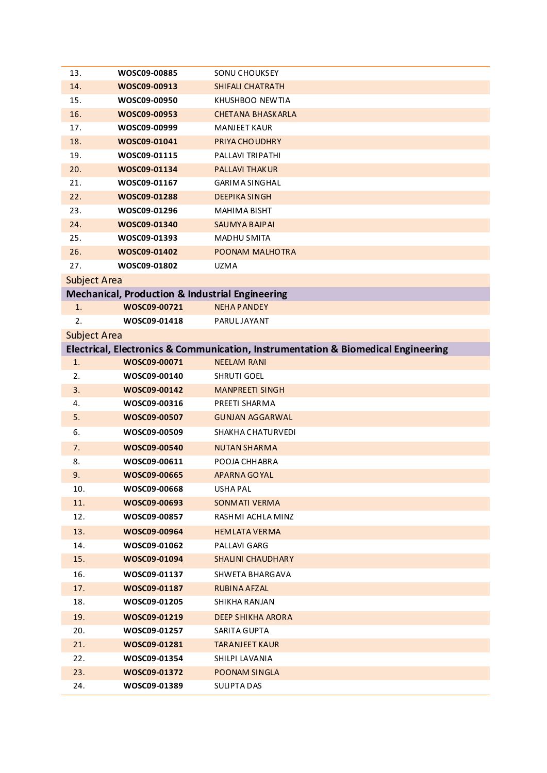| 13.                 | WOSC09-00885                                               | <b>SONU CHOUKSEY</b>                                                              |
|---------------------|------------------------------------------------------------|-----------------------------------------------------------------------------------|
| 14.                 | WOSC09-00913                                               | <b>SHIFALI CHATRATH</b>                                                           |
| 15.                 | WOSC09-00950                                               | KHUSHBOO NEWTIA                                                                   |
| 16.                 | WOSC09-00953                                               | <b>CHETANA BHASKARLA</b>                                                          |
| 17.                 | WOSC09-00999                                               | <b>MANJEET KAUR</b>                                                               |
| 18.                 | WOSC09-01041                                               | PRIYA CHO UDHRY                                                                   |
| 19.                 | WOSC09-01115                                               | PALLAVI TRIPATHI                                                                  |
| 20.                 | WOSC09-01134                                               | <b>PALLAVI THAKUR</b>                                                             |
| 21.                 | WOSC09-01167                                               | <b>GARIMA SINGHAL</b>                                                             |
| 22.                 | WOSC09-01288                                               | <b>DEEPIKA SINGH</b>                                                              |
| 23.                 | WOSC09-01296                                               | MAHIMA BISHT                                                                      |
| 24.                 | WOSC09-01340                                               | <b>SAUMYA BAJPAI</b>                                                              |
| 25.                 | WOSC09-01393                                               | <b>MADHU SMITA</b>                                                                |
| 26.                 | WOSC09-01402                                               | POONAM MALHOTRA                                                                   |
| 27.                 | WOSC09-01802                                               | <b>UZMA</b>                                                                       |
| <b>Subject Area</b> |                                                            |                                                                                   |
|                     | <b>Mechanical, Production &amp; Industrial Engineering</b> |                                                                                   |
| 1.                  | WOSC09-00721                                               | <b>NEHA PANDEY</b>                                                                |
| 2.                  | WOSC09-01418                                               | PARULJAYANT                                                                       |
| <b>Subject Area</b> |                                                            |                                                                                   |
|                     |                                                            | Electrical, Electronics & Communication, Instrumentation & Biomedical Engineering |
| 1.                  | WOSC09-00071                                               | <b>NEELAM RANI</b>                                                                |
| 2.                  | WOSC09-00140                                               | SHRUTI GOEL                                                                       |
| 3.                  | WOSC09-00142                                               | <b>MANPREETI SINGH</b>                                                            |
| 4.                  | WOSC09-00316                                               | PREETI SHARMA                                                                     |
| 5.                  | WOSC09-00507                                               | <b>GUNJAN AGGARWAL</b>                                                            |
| 6.                  | WOSC09-00509                                               | SHAKHA CHATURVEDI                                                                 |
| 7.                  | WOSC09-00540                                               | <b>NUTAN SHARMA</b>                                                               |
| 8.                  | WOSC09-00611                                               | POOJA CHHABRA                                                                     |
| 9.                  | WOSC09-00665                                               | <b>APARNA GOYAL</b>                                                               |
| 10.                 | WOSC09-00668                                               | USHA PAL                                                                          |
| 11.                 | WOSC09-00693                                               | <b>SONMATI VERMA</b>                                                              |
| 12.                 | WOSC09-00857                                               | RASHMI ACHLA MINZ                                                                 |
| 13.                 | WOSC09-00964                                               | <b>HEMLATA VERMA</b>                                                              |
| 14.                 | WOSC09-01062                                               | PALLAVI GARG                                                                      |
| 15.                 | WOSC09-01094                                               | SHALINI CHAUDHARY                                                                 |
| 16.                 | WOSC09-01137                                               | SHWETA BHARGAVA                                                                   |
| 17.                 | WOSC09-01187                                               | RUBINA AFZAL                                                                      |
| 18.                 | WOSC09-01205                                               | SHIKHA RANJAN                                                                     |
| 19.                 | WOSC09-01219                                               | <b>DEEP SHIKHA ARORA</b>                                                          |
| 20.                 | WOSC09-01257                                               | SARITA GUPTA                                                                      |
| 21.                 | WOSC09-01281                                               | <b>TARANJEET KAUR</b>                                                             |
| 22.                 | WOSC09-01354                                               | SHILPI LAVANIA                                                                    |
| 23.                 | WOSC09-01372                                               | POONAM SINGLA                                                                     |
| 24.                 | WOSC09-01389                                               | SULIPTA DAS                                                                       |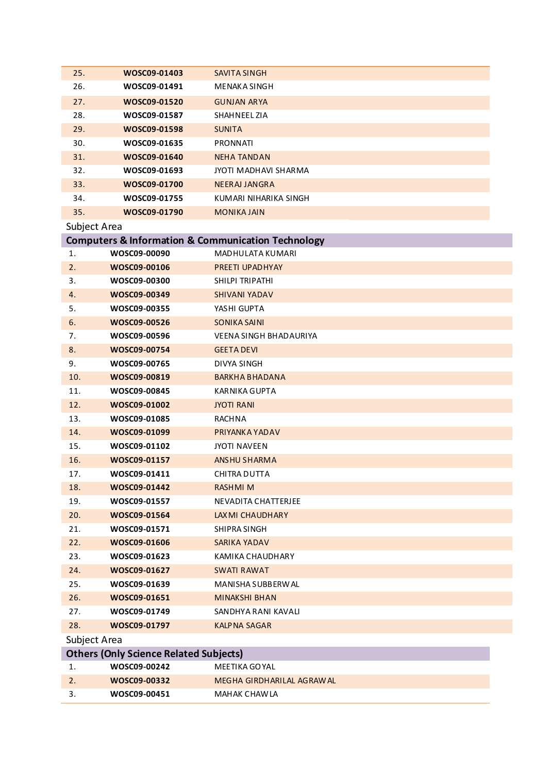| 25.          | WOSC09-01403                                  | <b>SAVITA SINGH</b>                                               |
|--------------|-----------------------------------------------|-------------------------------------------------------------------|
| 26.          | WOSC09-01491                                  | <b>MENAKA SINGH</b>                                               |
| 27.          | WOSC09-01520                                  | <b>GUNJAN ARYA</b>                                                |
| 28.          | WOSC09-01587                                  | SHAHNEEL ZIA                                                      |
| 29.          | WOSC09-01598                                  | <b>SUNITA</b>                                                     |
| 30.          | WOSC09-01635                                  | <b>PRONNATI</b>                                                   |
| 31.          | WOSC09-01640                                  | <b>NEHA TANDAN</b>                                                |
| 32.          | WOSC09-01693                                  | JYOTI MADHAVI SHARMA                                              |
| 33.          | WOSC09-01700                                  | NEERAJ JANGRA                                                     |
| 34.          | WOSC09-01755                                  | KUMARI NIHARIKA SINGH                                             |
| 35.          | WOSC09-01790                                  | <b>MONIKA JAIN</b>                                                |
| Subject Area |                                               |                                                                   |
|              |                                               | <b>Computers &amp; Information &amp; Communication Technology</b> |
| 1.           | WOSC09-00090                                  | MADHULATA KUMARI                                                  |
| 2.           | WOSC09-00106                                  | PREETI UPADHYAY                                                   |
| 3.           | WOSC09-00300                                  | SHILPI TRIPATHI                                                   |
| 4.           | WOSC09-00349                                  | <b>SHIVANI YADAV</b>                                              |
| 5.           | WOSC09-00355                                  | YASHI GUPTA                                                       |
| 6.           | WOSC09-00526                                  | <b>SONIKA SAINI</b>                                               |
| 7.           | WOSC09-00596                                  | VEENA SINGH BHADAURIYA                                            |
| 8.           | WOSC09-00754                                  | <b>GEETA DEVI</b>                                                 |
| 9.           | WOSC09-00765                                  | DIVYA SINGH                                                       |
| 10.          | WOSC09-00819                                  | <b>BARKHA BHADANA</b>                                             |
| 11.          | WOSC09-00845                                  | KARNIKA GUPTA                                                     |
| 12.          | WOSC09-01002                                  | <b>JYOTI RANI</b>                                                 |
| 13.          | WOSC09-01085                                  | RACHNA                                                            |
| 14.          | WOSC09-01099                                  | PRIYANKA YADAV                                                    |
| 15.          | WOSC09-01102                                  | JYOTI NAVEEN                                                      |
| 16.          | WOSC09-01157                                  | <b>ANSHU SHARMA</b>                                               |
| 17.          | WOSC09-01411                                  | CHITRA DUTTA                                                      |
| 18.          | WOSC09-01442                                  | <b>RASHMIM</b>                                                    |
| 19.          | WOSC09-01557                                  | NEVADITA CHATTERJEE                                               |
| 20.          | WOSC09-01564                                  | LAX MI CHAUDHARY                                                  |
| 21.          | WOSC09-01571                                  | SHIPRA SINGH                                                      |
| 22.          | WOSC09-01606                                  | SARIKA YADAV                                                      |
| 23.          | WOSC09-01623                                  | KAMIKA CHAUDHARY                                                  |
| 24.          | WOSC09-01627                                  | <b>SWATI RAWAT</b>                                                |
| 25.          | WOSC09-01639                                  | MANISHA SUBBERWAL                                                 |
| 26.          | WOSC09-01651                                  | <b>MINAKSHI BHAN</b>                                              |
| 27.          | WOSC09-01749                                  | SANDHYA RANI KAVALI                                               |
| 28.          | WOSC09-01797                                  | <b>KALPNA SAGAR</b>                                               |
| Subject Area |                                               |                                                                   |
|              | <b>Others (Only Science Related Subjects)</b> |                                                                   |
| 1.           | WOSC09-00242                                  | MEETIKA GOYAL                                                     |
| 2.           | WOSC09-00332                                  | MEGHA GIRDHARILAL AGRAW AL                                        |
| 3.           | WOSC09-00451                                  | MAHAK CHAW LA                                                     |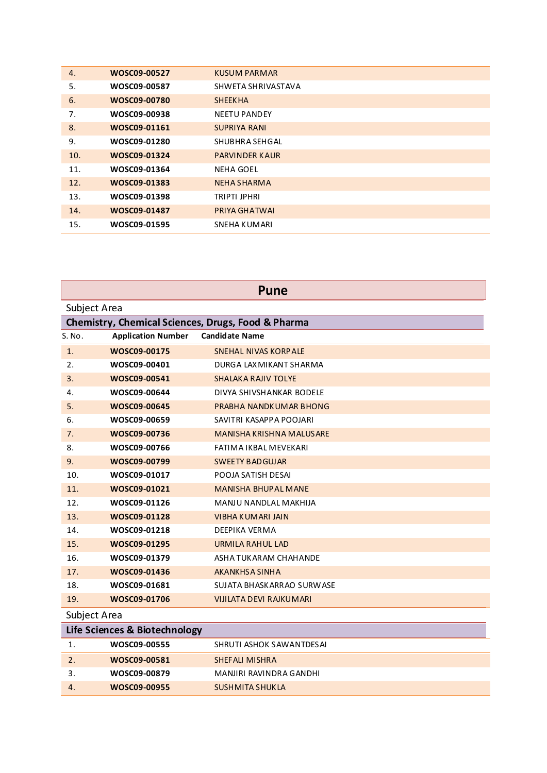| 4.  | WOSC09-00527 | KUSUM PARMAR          |
|-----|--------------|-----------------------|
| 5.  | WOSC09-00587 | SHWETA SHRIVASTAVA    |
| 6.  | WOSC09-00780 | <b>SHEEKHA</b>        |
| 7.  | WOSC09-00938 | <b>NEETU PANDEY</b>   |
| 8.  | WOSC09-01161 | <b>SUPRIYA RANI</b>   |
| 9.  | WOSC09-01280 | SHUBHRA SEHGAL        |
| 10. | WOSC09-01324 | <b>PARVINDER KAUR</b> |
| 11. | WOSC09-01364 | <b>NEHA GOEL</b>      |
| 12. | WOSC09-01383 | NEHA SHARMA           |
| 13. | WOSC09-01398 | TRIPTI JPHRI          |
| 14. | WOSC09-01487 | PRIYA GHATWAI         |
| 15. | WOSC09-01595 | SNEHA KUMARI          |

| <b>Pune</b>                                        |                           |                                |  |  |  |
|----------------------------------------------------|---------------------------|--------------------------------|--|--|--|
| Subject Area                                       |                           |                                |  |  |  |
| Chemistry, Chemical Sciences, Drugs, Food & Pharma |                           |                                |  |  |  |
| S. No.                                             | <b>Application Number</b> | <b>Candidate Name</b>          |  |  |  |
| 1.                                                 | WOSC09-00175              | SNEHAL NIVAS KORPALE           |  |  |  |
| 2.                                                 | WOSC09-00401              | DURGA LAX MIKANT SHARMA        |  |  |  |
| 3.                                                 | WOSC09-00541              | <b>SHALAKA RAJIV TOLYE</b>     |  |  |  |
| 4.                                                 | WOSC09-00644              | DIVYA SHIVSHANKAR BODELE       |  |  |  |
| 5.                                                 | WOSC09-00645              | PRABHA NANDKUMAR BHONG         |  |  |  |
| 6.                                                 | WOSC09-00659              | SAVITRI KASAPPA POOJARI        |  |  |  |
| 7.                                                 | WOSC09-00736              | MANISHA KRISHNA MALUSARE       |  |  |  |
| 8.                                                 | WOSC09-00766              | FATIMA IKBAL MEVEKARI          |  |  |  |
| 9.                                                 | WOSC09-00799              | <b>SWEETY BADGUJAR</b>         |  |  |  |
| 10.                                                | WOSC09-01017              | POOJA SATISH DESAI             |  |  |  |
| 11.                                                | WOSC09-01021              | <b>MANISHA BHUPAL MANE</b>     |  |  |  |
| 12.                                                | WOSC09-01126              | MANJU NANDLAL MAKHIJA          |  |  |  |
| 13.                                                | WOSC09-01128              | VIBHA KUMARI JAIN              |  |  |  |
| 14.                                                | WOSC09-01218              | DEEPIKA VERMA                  |  |  |  |
| 15.                                                | WOSC09-01295              | URMILA RAHUL LAD               |  |  |  |
| 16.                                                | WOSC09-01379              | ASHA TUKARAM CHAHANDE          |  |  |  |
| 17.                                                | WOSC09-01436              | AKANKHSA SINHA                 |  |  |  |
| 18.                                                | WOSC09-01681              | SUJATA BHASKARRAO SURWASE      |  |  |  |
| 19.                                                | WOSC09-01706              | <b>VIJILATA DEVI RAJKUMARI</b> |  |  |  |
| Subject Area                                       |                           |                                |  |  |  |
| Life Sciences & Biotechnology                      |                           |                                |  |  |  |
| 1.                                                 | WOSC09-00555              | SHRUTI ASHOK SAWANTDESAI       |  |  |  |
| 2.                                                 | WOSC09-00581              | <b>SHEFALI MISHRA</b>          |  |  |  |
| 3.                                                 | WOSC09-00879              | MANJIRI RAVINDRA GANDHI        |  |  |  |
| 4.                                                 | WOSC09-00955              | <b>SUSHMITA SHUKLA</b>         |  |  |  |
|                                                    |                           |                                |  |  |  |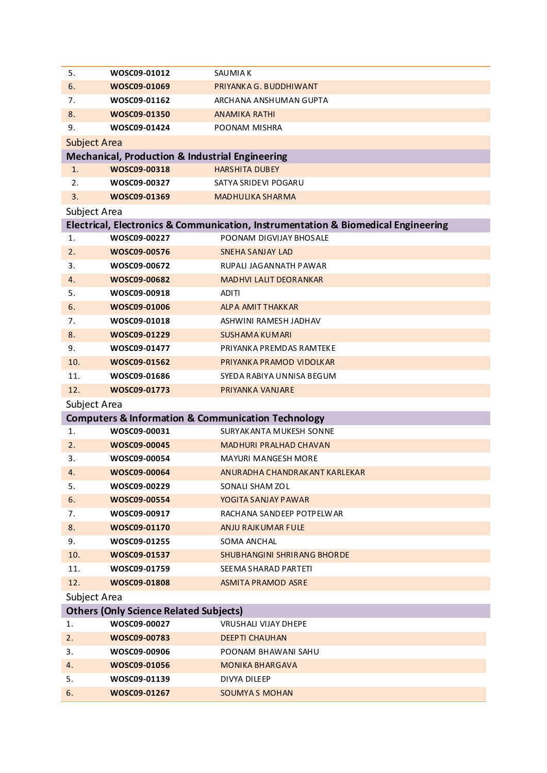| 5.                  | WOSC09-01012                                               | SAUMIA K                                                                          |  |  |  |
|---------------------|------------------------------------------------------------|-----------------------------------------------------------------------------------|--|--|--|
| 6.                  | WOSC09-01069                                               | PRIYANKA G. BUDDHIWANT                                                            |  |  |  |
| 7.                  | WOSC09-01162                                               | ARCHANA ANSHUMAN GUPTA                                                            |  |  |  |
| 8.                  | WOSC09-01350                                               | <b>ANAMIKA RATHI</b>                                                              |  |  |  |
| 9.                  | WOSC09-01424                                               | POONAM MISHRA                                                                     |  |  |  |
| <b>Subject Area</b> |                                                            |                                                                                   |  |  |  |
|                     | <b>Mechanical, Production &amp; Industrial Engineering</b> |                                                                                   |  |  |  |
| 1.                  | WOSC09-00318                                               | <b>HARSHITA DUBEY</b>                                                             |  |  |  |
| 2.                  | WOSC09-00327                                               | SATYA SRIDEVI POGARU                                                              |  |  |  |
| 3.                  | WOSC09-01369                                               | MADHULIKA SHARMA                                                                  |  |  |  |
| Subject Area        |                                                            |                                                                                   |  |  |  |
|                     |                                                            | Electrical, Electronics & Communication, Instrumentation & Biomedical Engineering |  |  |  |
| 1.                  | WOSC09-00227                                               | POONAM DIGVIJAY BHOSALE                                                           |  |  |  |
| 2.                  | WOSC09-00576                                               | <b>SNEHA SANJAY LAD</b>                                                           |  |  |  |
| 3.                  | WOSC09-00672                                               | RUPALI JAGANNATH PAWAR                                                            |  |  |  |
| 4.                  | WOSC09-00682                                               | <b>MADHVI LALIT DEORANKAR</b>                                                     |  |  |  |
| 5.                  | WOSC09-00918                                               | ADITI                                                                             |  |  |  |
| 6.                  | WOSC09-01006                                               | <b>ALP A AMIT THAKKAR</b>                                                         |  |  |  |
| 7.                  | WOSC09-01018                                               | ASHWINI RAMESH JADHAV                                                             |  |  |  |
| 8.                  | WOSC09-01229                                               | <b>SUSHAMA KUMARI</b>                                                             |  |  |  |
| 9.                  | WOSC09-01477                                               | PRIYANKA PREMDAS RAMTEKE                                                          |  |  |  |
| 10.                 | WOSC09-01562                                               | PRIYANKA PRAMOD VIDOLKAR                                                          |  |  |  |
| 11.                 | WOSC09-01686                                               | SYEDA RABIYA UNNISA BEGUM                                                         |  |  |  |
| 12.                 | WOSC09-01773                                               | PRIYANKA VANJARE                                                                  |  |  |  |
| Subject Area        |                                                            |                                                                                   |  |  |  |
|                     |                                                            | <b>Computers &amp; Information &amp; Communication Technology</b>                 |  |  |  |
| 1.                  | WOSC09-00031                                               | SURYAKANTA MUKESH SONNE                                                           |  |  |  |
| 2.                  | WOSC09-00045                                               | <b>MADHURI PRALHAD CHAVAN</b>                                                     |  |  |  |
| 3.                  | WOSC09-00054                                               | <b>MAYURI MANGESH MORE</b>                                                        |  |  |  |
| 4.                  | WOSC09-00064                                               | ANURADHA CHANDRAKANT KARLEKAR                                                     |  |  |  |
| 5.                  | WOSC09-00229                                               | SONALI SHAM ZOL                                                                   |  |  |  |
| 6.                  | WOSC09-00554                                               | YOGITA SANJAY PAWAR                                                               |  |  |  |
| 7.                  | WOSC09-00917                                               | RACHANA SANDEEP POTPELWAR                                                         |  |  |  |
| 8.                  | WOSC09-01170                                               | ANJU RAJKUMAR FULE                                                                |  |  |  |
| 9.                  | WOSC09-01255                                               | SOMA ANCHAL                                                                       |  |  |  |
| 10.                 | WOSC09-01537                                               | SHUBHANGINI SHRIRANG BHORDE                                                       |  |  |  |
| 11.                 | WOSC09-01759                                               | SEEMA SHARAD PARTETI                                                              |  |  |  |
| 12.                 | WOSC09-01808                                               | <b>ASMITA PRAMOD ASRE</b>                                                         |  |  |  |
| Subject Area        |                                                            |                                                                                   |  |  |  |
|                     | <b>Others (Only Science Related Subjects)</b>              |                                                                                   |  |  |  |
| 1.                  | WOSC09-00027                                               | VRUSHALI VIJAY DHEPE                                                              |  |  |  |
| 2.                  | WOSC09-00783                                               | <b>DEEPTI CHAUHAN</b>                                                             |  |  |  |
| 3.                  | WOSC09-00906                                               | POONAM BHAWANI SAHU                                                               |  |  |  |
| 4.                  | WOSC09-01056                                               | <b>MONIKA BHARGAVA</b>                                                            |  |  |  |
| 5.                  | WOSC09-01139                                               | DIVYA DILEEP                                                                      |  |  |  |
| 6.                  | WOSC09-01267                                               | <b>SOUMYAS MOHAN</b>                                                              |  |  |  |